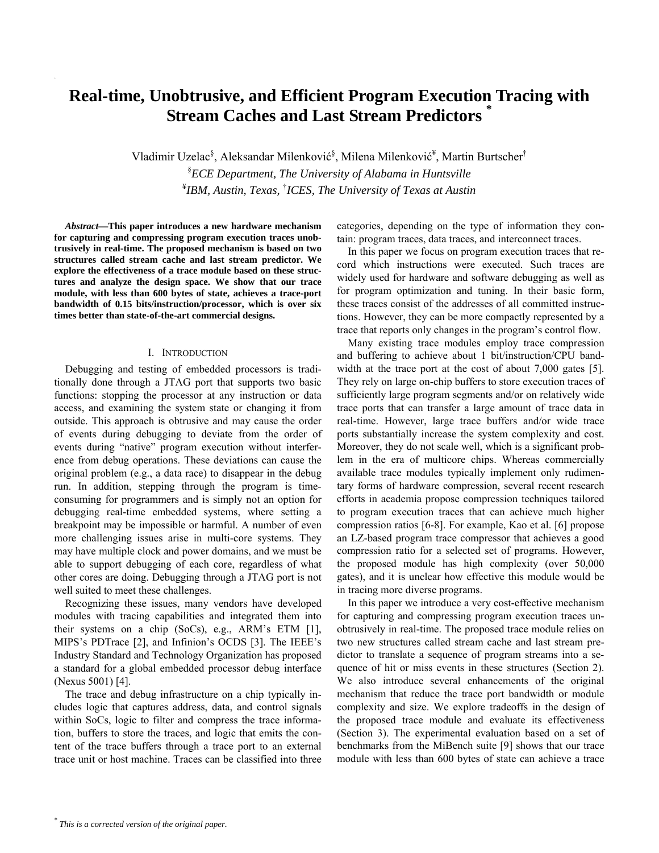# **Real-time, Unobtrusive, and Efficient Program Execution Tracing with Stream Caches and Last Stream Predictors \***

Vladimir Uzelac<sup>§</sup>, Aleksandar Milenković<sup>§</sup>, Milena Milenković<sup>¥</sup>, Martin Burtscher<sup>†</sup> § *ECE Department, The University of Alabama in Huntsville*  ¥ *IBM, Austin, Texas,* † *ICES, The University of Texas at Austin* 

*Abstract***—This paper introduces a new hardware mechanism for capturing and compressing program execution traces unobtrusively in real-time. The proposed mechanism is based on two structures called stream cache and last stream predictor. We explore the effectiveness of a trace module based on these structures and analyze the design space. We show that our trace module, with less than 600 bytes of state, achieves a trace-port bandwidth of 0.15 bits/instruction/processor, which is over six times better than state-of-the-art commercial designs.** 

#### I. INTRODUCTION

Debugging and testing of embedded processors is traditionally done through a JTAG port that supports two basic functions: stopping the processor at any instruction or data access, and examining the system state or changing it from outside. This approach is obtrusive and may cause the order of events during debugging to deviate from the order of events during "native" program execution without interference from debug operations. These deviations can cause the original problem (e.g., a data race) to disappear in the debug run. In addition, stepping through the program is timeconsuming for programmers and is simply not an option for debugging real-time embedded systems, where setting a breakpoint may be impossible or harmful. A number of even more challenging issues arise in multi-core systems. They may have multiple clock and power domains, and we must be able to support debugging of each core, regardless of what other cores are doing. Debugging through a JTAG port is not well suited to meet these challenges.

Recognizing these issues, many vendors have developed modules with tracing capabilities and integrated them into their systems on a chip (SoCs), e.g., ARM's ETM [1], MIPS's PDTrace [2], and Infinion's OCDS [3]. The IEEE's Industry Standard and Technology Organization has proposed a standard for a global embedded processor debug interface (Nexus 5001) [4].

The trace and debug infrastructure on a chip typically includes logic that captures address, data, and control signals within SoCs, logic to filter and compress the trace information, buffers to store the traces, and logic that emits the content of the trace buffers through a trace port to an external trace unit or host machine. Traces can be classified into three

categories, depending on the type of information they contain: program traces, data traces, and interconnect traces.

In this paper we focus on program execution traces that record which instructions were executed. Such traces are widely used for hardware and software debugging as well as for program optimization and tuning. In their basic form, these traces consist of the addresses of all committed instructions. However, they can be more compactly represented by a trace that reports only changes in the program's control flow.

Many existing trace modules employ trace compression and buffering to achieve about 1 bit/instruction/CPU bandwidth at the trace port at the cost of about 7,000 gates [5]. They rely on large on-chip buffers to store execution traces of sufficiently large program segments and/or on relatively wide trace ports that can transfer a large amount of trace data in real-time. However, large trace buffers and/or wide trace ports substantially increase the system complexity and cost. Moreover, they do not scale well, which is a significant problem in the era of multicore chips. Whereas commercially available trace modules typically implement only rudimentary forms of hardware compression, several recent research efforts in academia propose compression techniques tailored to program execution traces that can achieve much higher compression ratios [6-8]. For example, Kao et al. [6] propose an LZ-based program trace compressor that achieves a good compression ratio for a selected set of programs. However, the proposed module has high complexity (over 50,000 gates), and it is unclear how effective this module would be in tracing more diverse programs.

In this paper we introduce a very cost-effective mechanism for capturing and compressing program execution traces unobtrusively in real-time. The proposed trace module relies on two new structures called stream cache and last stream predictor to translate a sequence of program streams into a sequence of hit or miss events in these structures (Section 2). We also introduce several enhancements of the original mechanism that reduce the trace port bandwidth or module complexity and size. We explore tradeoffs in the design of the proposed trace module and evaluate its effectiveness (Section 3). The experimental evaluation based on a set of benchmarks from the MiBench suite [9] shows that our trace module with less than 600 bytes of state can achieve a trace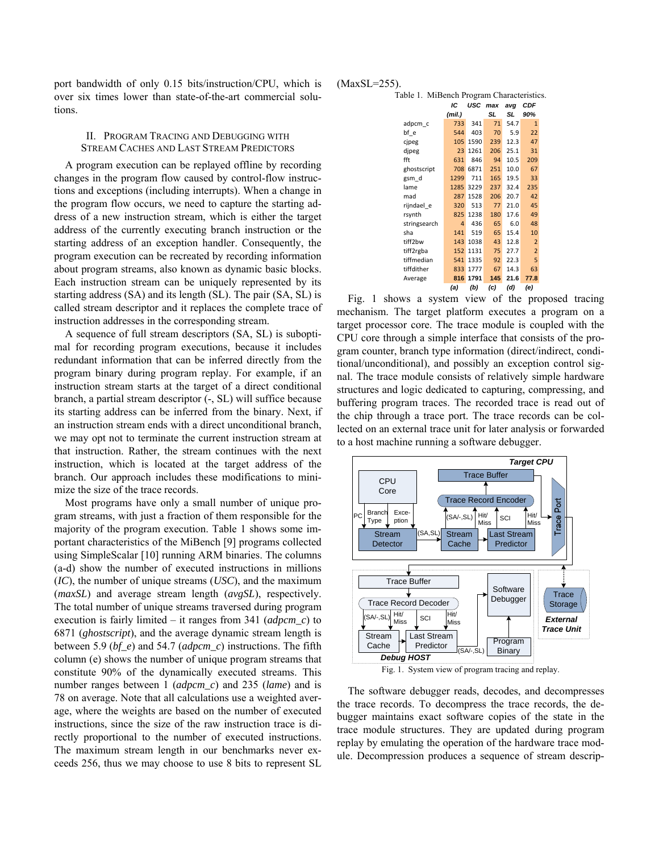port bandwidth of only 0.15 bits/instruction/CPU, which is over six times lower than state-of-the-art commercial solutions.

### II. PROGRAM TRACING AND DEBUGGING WITH STREAM CACHES AND LAST STREAM PREDICTORS

A program execution can be replayed offline by recording changes in the program flow caused by control-flow instructions and exceptions (including interrupts). When a change in the program flow occurs, we need to capture the starting address of a new instruction stream, which is either the target address of the currently executing branch instruction or the starting address of an exception handler. Consequently, the program execution can be recreated by recording information about program streams, also known as dynamic basic blocks. Each instruction stream can be uniquely represented by its starting address (SA) and its length (SL). The pair (SA, SL) is called stream descriptor and it replaces the complete trace of instruction addresses in the corresponding stream.

A sequence of full stream descriptors (SA, SL) is suboptimal for recording program executions, because it includes redundant information that can be inferred directly from the program binary during program replay. For example, if an instruction stream starts at the target of a direct conditional branch, a partial stream descriptor (-, SL) will suffice because its starting address can be inferred from the binary. Next, if an instruction stream ends with a direct unconditional branch, we may opt not to terminate the current instruction stream at that instruction. Rather, the stream continues with the next instruction, which is located at the target address of the branch. Our approach includes these modifications to minimize the size of the trace records.

Most programs have only a small number of unique program streams, with just a fraction of them responsible for the majority of the program execution. Table 1 shows some important characteristics of the MiBench [9] programs collected using SimpleScalar [10] running ARM binaries. The columns (a-d) show the number of executed instructions in millions (*IC*), the number of unique streams (*USC*), and the maximum (*maxSL*) and average stream length (*avgSL*), respectively. The total number of unique streams traversed during program execution is fairly limited – it ranges from 341 (*adpcm\_c*) to 6871 (*ghostscript*), and the average dynamic stream length is between 5.9 (*bf\_e*) and 54.7 (*adpcm\_c*) instructions. The fifth column (e) shows the number of unique program streams that constitute 90% of the dynamically executed streams. This number ranges between 1 (*adpcm\_c*) and 235 (*lame*) and is 78 on average. Note that all calculations use a weighted average, where the weights are based on the number of executed instructions, since the size of the raw instruction trace is directly proportional to the number of executed instructions. The maximum stream length in our benchmarks never exceeds 256, thus we may choose to use 8 bits to represent SL

(MaxSL=255).

|  |                    | Table 1. MiBench Program Characteristics. |  |  |
|--|--------------------|-------------------------------------------|--|--|
|  | IC USC max avg CDF |                                           |  |  |

|              | ΙC     | USC  | max | avg  | CDF            |
|--------------|--------|------|-----|------|----------------|
|              | (mil.) |      | SL  | SL   | 90%            |
| adpcm c      | 733    | 341  | 71  | 54.7 | $\mathbf{1}$   |
| bf e         | 544    | 403  | 70  | 5.9  | 22             |
| cipeg        | 105    | 1590 | 239 | 12.3 | 47             |
| djpeg        | 23     | 1261 | 206 | 25.1 | 31             |
| fft          | 631    | 846  | 94  | 10.5 | 209            |
| ghostscript  | 708    | 6871 | 251 | 10.0 | 67             |
| gsm d        | 1299   | 711  | 165 | 19.5 | 33             |
| lame         | 1285   | 3229 | 237 | 32.4 | 235            |
| mad          | 287    | 1528 | 206 | 20.7 | 42             |
| rijndael e   | 320    | 513  | 77  | 21.0 | 45             |
| rsynth       | 825    | 1238 | 180 | 17.6 | 49             |
| stringsearch | 4      | 436  | 65  | 6.0  | 48             |
| sha          | 141    | 519  | 65  | 15.4 | 10             |
| tiff2bw      | 143    | 1038 | 43  | 12.8 | $\overline{2}$ |
| tiff2rgba    | 152    | 1131 | 75  | 27.7 | $\overline{2}$ |
| tiffmedian   | 541    | 1335 | 92  | 22.3 | 5              |
| tiffdither   | 833    | 1777 | 67  | 14.3 | 63             |
| Average      | 816    | 1791 | 145 | 21.6 | 77.8           |
|              | (a)    | (b)  | (c) | (d)  | (e)            |

Fig. 1 shows a system view of the proposed tracing mechanism. The target platform executes a program on a target processor core. The trace module is coupled with the CPU core through a simple interface that consists of the program counter, branch type information (direct/indirect, conditional/unconditional), and possibly an exception control signal. The trace module consists of relatively simple hardware structures and logic dedicated to capturing, compressing, and buffering program traces. The recorded trace is read out of the chip through a trace port. The trace records can be collected on an external trace unit for later analysis or forwarded to a host machine running a software debugger.



The software debugger reads, decodes, and decompresses the trace records. To decompress the trace records, the debugger maintains exact software copies of the state in the trace module structures. They are updated during program replay by emulating the operation of the hardware trace module. Decompression produces a sequence of stream descrip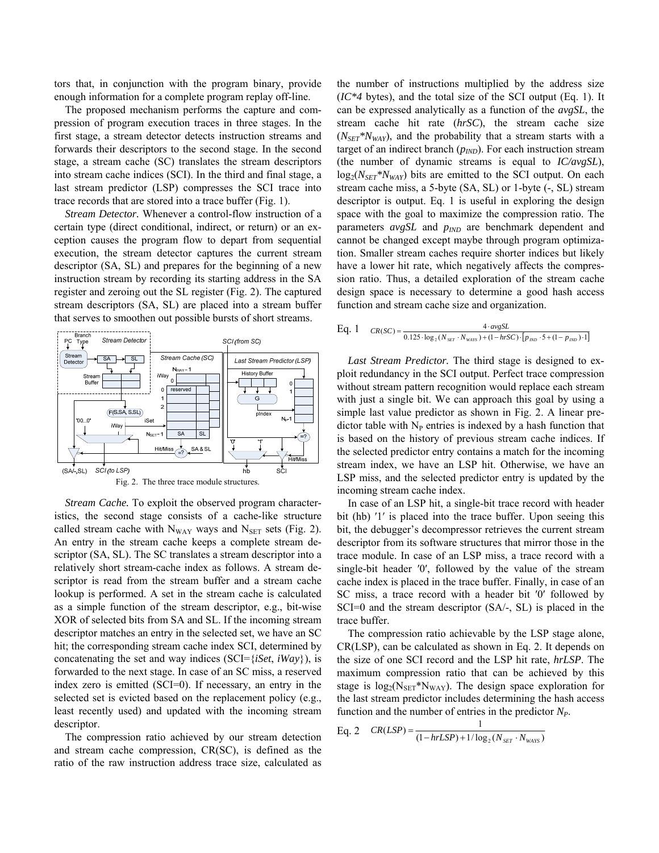tors that, in conjunction with the program binary, provide enough information for a complete program replay off-line.

The proposed mechanism performs the capture and compression of program execution traces in three stages. In the first stage, a stream detector detects instruction streams and forwards their descriptors to the second stage. In the second stage, a stream cache (SC) translates the stream descriptors into stream cache indices (SCI). In the third and final stage, a last stream predictor (LSP) compresses the SCI trace into trace records that are stored into a trace buffer (Fig. 1).

*Stream Detector.* Whenever a control-flow instruction of a certain type (direct conditional, indirect, or return) or an exception causes the program flow to depart from sequential execution, the stream detector captures the current stream descriptor (SA, SL) and prepares for the beginning of a new instruction stream by recording its starting address in the SA register and zeroing out the SL register (Fig. 2). The captured stream descriptors (SA, SL) are placed into a stream buffer that serves to smoothen out possible bursts of short streams.



*Stream Cache.* To exploit the observed program characteristics, the second stage consists of a cache-like structure called stream cache with  $N_{\text{WAY}}$  ways and  $N_{\text{SET}}$  sets (Fig. 2). An entry in the stream cache keeps a complete stream descriptor (SA, SL). The SC translates a stream descriptor into a relatively short stream-cache index as follows. A stream descriptor is read from the stream buffer and a stream cache lookup is performed. A set in the stream cache is calculated as a simple function of the stream descriptor, e.g., bit-wise XOR of selected bits from SA and SL. If the incoming stream descriptor matches an entry in the selected set, we have an SC hit; the corresponding stream cache index SCI, determined by concatenating the set and way indices (SCI={*iSet*, *iWay*}), is forwarded to the next stage. In case of an SC miss, a reserved index zero is emitted (SCI=0). If necessary, an entry in the selected set is evicted based on the replacement policy (e.g., least recently used) and updated with the incoming stream descriptor.

The compression ratio achieved by our stream detection and stream cache compression, CR(SC), is defined as the ratio of the raw instruction address trace size, calculated as

the number of instructions multiplied by the address size (*IC\*4* bytes), and the total size of the SCI output (Eq. 1). It can be expressed analytically as a function of the *avgSL*, the stream cache hit rate (*hrSC*), the stream cache size  $(N_{SET} * N_{WAY})$ , and the probability that a stream starts with a target of an indirect branch  $(p_{IND})$ . For each instruction stream (the number of dynamic streams is equal to *IC/avgSL*),  $log_2(N_{SET} * N_{WAY})$  bits are emitted to the SCI output. On each stream cache miss, a 5-byte (SA, SL) or 1-byte (-, SL) stream descriptor is output. Eq. 1 is useful in exploring the design space with the goal to maximize the compression ratio. The parameters *avgSL* and  $p_{IND}$  are benchmark dependent and cannot be changed except maybe through program optimization. Smaller stream caches require shorter indices but likely have a lower hit rate, which negatively affects the compression ratio. Thus, a detailed exploration of the stream cache design space is necessary to determine a good hash access function and stream cache size and organization.

Eq. 1 
$$
CR(SC) = \frac{4 \cdot avgSL}{0.125 \cdot log_2(N_{\text{SET}} \cdot N_{\text{WATS}}) + (1 - hrSC) \cdot [p_{\text{IND}} \cdot 5 + (1 - p_{\text{IND}}) \cdot 1]}
$$

*Last Stream Predictor.* The third stage is designed to exploit redundancy in the SCI output. Perfect trace compression without stream pattern recognition would replace each stream with just a single bit. We can approach this goal by using a simple last value predictor as shown in Fig. 2. A linear predictor table with  $N_P$  entries is indexed by a hash function that is based on the history of previous stream cache indices. If the selected predictor entry contains a match for the incoming stream index, we have an LSP hit. Otherwise, we have an LSP miss, and the selected predictor entry is updated by the incoming stream cache index.

In case of an LSP hit, a single-bit trace record with header bit (hb) ′1′ is placed into the trace buffer. Upon seeing this bit, the debugger's decompressor retrieves the current stream descriptor from its software structures that mirror those in the trace module. In case of an LSP miss, a trace record with a single-bit header ′0′, followed by the value of the stream cache index is placed in the trace buffer. Finally, in case of an SC miss, a trace record with a header bit ′0′ followed by SCI=0 and the stream descriptor (SA/-, SL) is placed in the trace buffer.

The compression ratio achievable by the LSP stage alone, CR(LSP), can be calculated as shown in Eq. 2. It depends on the size of one SCI record and the LSP hit rate, *hrLSP*. The maximum compression ratio that can be achieved by this stage is  $log_2(N_{\text{SET}}*N_{\text{WAY}})$ . The design space exploration for the last stream predictor includes determining the hash access function and the number of entries in the predictor *NP*.

Eq. 2 
$$
CR(LSP) = \frac{1}{(1 - hrLSP) + 1/\log_2(N_{SET} \cdot N_{WATS})}
$$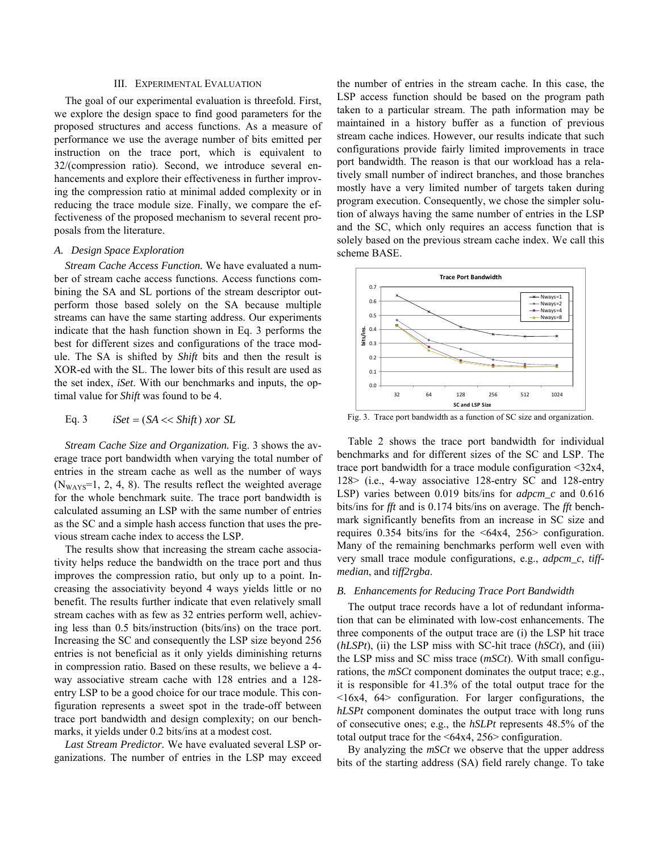#### III. EXPERIMENTAL EVALUATION

The goal of our experimental evaluation is threefold. First, we explore the design space to find good parameters for the proposed structures and access functions. As a measure of performance we use the average number of bits emitted per instruction on the trace port, which is equivalent to 32/(compression ratio). Second, we introduce several enhancements and explore their effectiveness in further improving the compression ratio at minimal added complexity or in reducing the trace module size. Finally, we compare the effectiveness of the proposed mechanism to several recent proposals from the literature.

#### *A. Design Space Exploration*

*Stream Cache Access Function.* We have evaluated a number of stream cache access functions. Access functions combining the SA and SL portions of the stream descriptor outperform those based solely on the SA because multiple streams can have the same starting address. Our experiments indicate that the hash function shown in Eq. 3 performs the best for different sizes and configurations of the trace module. The SA is shifted by *Shift* bits and then the result is XOR-ed with the SL. The lower bits of this result are used as the set index, *iSet*. With our benchmarks and inputs, the optimal value for *Shift* was found to be 4.

Eq. 3 *iSet* =  $(SA \ll Shift) \; xor \; SL$ 

*Stream Cache Size and Organization.* Fig. 3 shows the average trace port bandwidth when varying the total number of entries in the stream cache as well as the number of ways  $(N_{\text{WAYS}}=1, 2, 4, 8)$ . The results reflect the weighted average for the whole benchmark suite. The trace port bandwidth is calculated assuming an LSP with the same number of entries as the SC and a simple hash access function that uses the previous stream cache index to access the LSP.

The results show that increasing the stream cache associativity helps reduce the bandwidth on the trace port and thus improves the compression ratio, but only up to a point. Increasing the associativity beyond 4 ways yields little or no benefit. The results further indicate that even relatively small stream caches with as few as 32 entries perform well, achieving less than 0.5 bits/instruction (bits/ins) on the trace port. Increasing the SC and consequently the LSP size beyond 256 entries is not beneficial as it only yields diminishing returns in compression ratio. Based on these results, we believe a 4 way associative stream cache with 128 entries and a 128 entry LSP to be a good choice for our trace module. This configuration represents a sweet spot in the trade-off between trace port bandwidth and design complexity; on our benchmarks, it yields under 0.2 bits/ins at a modest cost.

*Last Stream Predictor.* We have evaluated several LSP organizations. The number of entries in the LSP may exceed the number of entries in the stream cache. In this case, the LSP access function should be based on the program path taken to a particular stream. The path information may be maintained in a history buffer as a function of previous stream cache indices. However, our results indicate that such configurations provide fairly limited improvements in trace port bandwidth. The reason is that our workload has a relatively small number of indirect branches, and those branches mostly have a very limited number of targets taken during program execution. Consequently, we chose the simpler solution of always having the same number of entries in the LSP and the SC, which only requires an access function that is solely based on the previous stream cache index. We call this scheme BASE.



Fig. 3. Trace port bandwidth as a function of SC size and organization.

Table 2 shows the trace port bandwidth for individual benchmarks and for different sizes of the SC and LSP. The trace port bandwidth for a trace module configuration <32x4, 128> (i.e., 4-way associative 128-entry SC and 128-entry LSP) varies between 0.019 bits/ins for *adpcm\_c* and 0.616 bits/ins for *fft* and is 0.174 bits/ins on average. The *fft* benchmark significantly benefits from an increase in SC size and requires 0.354 bits/ins for the <64x4, 256> configuration. Many of the remaining benchmarks perform well even with very small trace module configurations, e.g., *adpcm\_c*, *tiffmedian*, and *tiff2rgba*.

#### *B. Enhancements for Reducing Trace Port Bandwidth*

The output trace records have a lot of redundant information that can be eliminated with low-cost enhancements. The three components of the output trace are (i) the LSP hit trace (*hLSPt*), (ii) the LSP miss with SC-hit trace (*hSCt*), and (iii) the LSP miss and SC miss trace (*mSCt*). With small configurations, the *mSCt* component dominates the output trace; e.g., it is responsible for 41.3% of the total output trace for the <16x4, 64> configuration. For larger configurations, the *hLSPt* component dominates the output trace with long runs of consecutive ones; e.g., the *hSLPt* represents 48.5% of the total output trace for the <64x4, 256> configuration.

By analyzing the *mSCt* we observe that the upper address bits of the starting address (SA) field rarely change. To take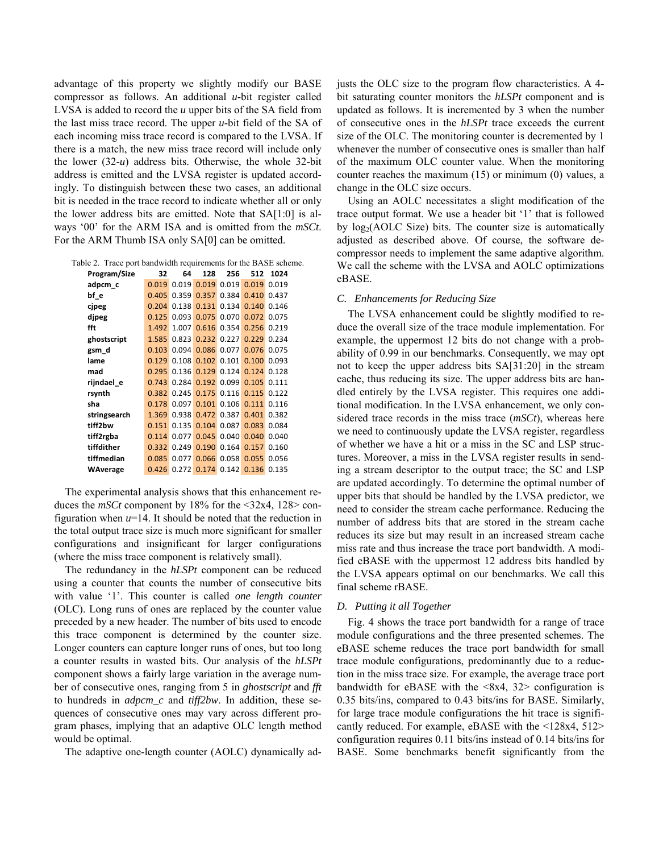advantage of this property we slightly modify our BASE compressor as follows. An additional *u*-bit register called LVSA is added to record the *u* upper bits of the SA field from the last miss trace record. The upper *u*-bit field of the SA of each incoming miss trace record is compared to the LVSA. If there is a match, the new miss trace record will include only the lower (32-*u*) address bits. Otherwise, the whole 32-bit address is emitted and the LVSA register is updated accordingly. To distinguish between these two cases, an additional bit is needed in the trace record to indicate whether all or only the lower address bits are emitted. Note that SA[1:0] is always '00' for the ARM ISA and is omitted from the *mSCt*. For the ARM Thumb ISA only SA[0] can be omitted.

| Table 2. Trace port bandwidth requirements for the BASE scheme. |  |  |  |  |  |  |  |  |
|-----------------------------------------------------------------|--|--|--|--|--|--|--|--|
|-----------------------------------------------------------------|--|--|--|--|--|--|--|--|

| Program/Size | 32    | 64    | 128   | 256   | 512   | 1024  |
|--------------|-------|-------|-------|-------|-------|-------|
| adpcm c      | 0.019 | 0.019 | 0.019 | 0.019 | 0.019 | 0.019 |
| bf e         | 0.405 | 0.359 | 0.357 | 0.384 | 0.410 | 0.437 |
| cjpeg        | 0.204 | 0.138 | 0.131 | 0.134 | 0.140 | 0.146 |
| djpeg        | 0.125 | 0.093 | 0.075 | 0.070 | 0.072 | 0.075 |
| fft          | 1.492 | 1.007 | 0.616 | 0.354 | 0.256 | 0.219 |
| ghostscript  | 1.585 | 0.823 | 0.232 | 0.227 | 0.229 | 0.234 |
| gsm d        | 0.103 | 0.094 | 0.086 | 0.077 | 0.076 | 0.075 |
| lame         | 0.129 | 0.108 | 0.102 | 0.101 | 0.100 | 0.093 |
| mad          | 0.295 | 0.136 | 0.129 | 0.124 | 0.124 | 0.128 |
| rijndael e   | 0.743 | 0.284 | 0.192 | 0.099 | 0.105 | 0.111 |
| rsynth       | 0.382 | 0.245 | 0.175 | 0.116 | 0.115 | 0.122 |
| sha          | 0.178 | 0.097 | 0.101 | 0.106 | 0.111 | 0.116 |
| stringsearch | 1.369 | 0.938 | 0.472 | 0.387 | 0.401 | 0.382 |
| tiff2bw      | 0.151 | 0.135 | 0.104 | 0.087 | 0.083 | 0.084 |
| tiff2rgba    | 0.114 | 0.077 | 0.045 | 0.040 | 0.040 | 0.040 |
| tiffdither   | 0.332 | 0.249 | 0.190 | 0.164 | 0.157 | 0.160 |
| tiffmedian   | 0.085 | 0.077 | 0.066 | 0.058 | 0.055 | 0.056 |
| WAverage     | 0.426 | 0.272 | 0.174 | 0.142 | 0.136 | 0.135 |

The experimental analysis shows that this enhancement reduces the *mSCt* component by 18% for the <32x4, 128> configuration when  $u=14$ . It should be noted that the reduction in the total output trace size is much more significant for smaller configurations and insignificant for larger configurations (where the miss trace component is relatively small).

The redundancy in the *hLSPt* component can be reduced using a counter that counts the number of consecutive bits with value '1'. This counter is called *one length counter* (OLC). Long runs of ones are replaced by the counter value preceded by a new header. The number of bits used to encode this trace component is determined by the counter size. Longer counters can capture longer runs of ones, but too long a counter results in wasted bits. Our analysis of the *hLSPt* component shows a fairly large variation in the average number of consecutive ones, ranging from 5 in *ghostscript* and *fft* to hundreds in *adpcm\_c* and *tiff2bw*. In addition, these sequences of consecutive ones may vary across different program phases, implying that an adaptive OLC length method would be optimal.

The adaptive one-length counter (AOLC) dynamically ad-

justs the OLC size to the program flow characteristics. A 4 bit saturating counter monitors the *hLSPt* component and is updated as follows. It is incremented by 3 when the number of consecutive ones in the *hLSPt* trace exceeds the current size of the OLC. The monitoring counter is decremented by 1 whenever the number of consecutive ones is smaller than half of the maximum OLC counter value. When the monitoring counter reaches the maximum (15) or minimum (0) values, a change in the OLC size occurs.

Using an AOLC necessitates a slight modification of the trace output format. We use a header bit '1' that is followed by  $log_2(AOLC$  Size) bits. The counter size is automatically adjusted as described above. Of course, the software decompressor needs to implement the same adaptive algorithm. We call the scheme with the LVSA and AOLC optimizations eBASE.

# *C. Enhancements for Reducing Size*

The LVSA enhancement could be slightly modified to reduce the overall size of the trace module implementation. For example, the uppermost 12 bits do not change with a probability of 0.99 in our benchmarks. Consequently, we may opt not to keep the upper address bits SA[31:20] in the stream cache, thus reducing its size. The upper address bits are handled entirely by the LVSA register. This requires one additional modification. In the LVSA enhancement, we only considered trace records in the miss trace (*mSCt*), whereas here we need to continuously update the LVSA register, regardless of whether we have a hit or a miss in the SC and LSP structures. Moreover, a miss in the LVSA register results in sending a stream descriptor to the output trace; the SC and LSP are updated accordingly. To determine the optimal number of upper bits that should be handled by the LVSA predictor, we need to consider the stream cache performance. Reducing the number of address bits that are stored in the stream cache reduces its size but may result in an increased stream cache miss rate and thus increase the trace port bandwidth. A modified eBASE with the uppermost 12 address bits handled by the LVSA appears optimal on our benchmarks. We call this final scheme rBASE.

# *D. Putting it all Together*

Fig. 4 shows the trace port bandwidth for a range of trace module configurations and the three presented schemes. The eBASE scheme reduces the trace port bandwidth for small trace module configurations, predominantly due to a reduction in the miss trace size. For example, the average trace port bandwidth for eBASE with the  $\langle 8x4, 32 \rangle$  configuration is 0.35 bits/ins, compared to 0.43 bits/ins for BASE. Similarly, for large trace module configurations the hit trace is significantly reduced. For example, eBASE with the <128x4, 512> configuration requires 0.11 bits/ins instead of 0.14 bits/ins for BASE. Some benchmarks benefit significantly from the